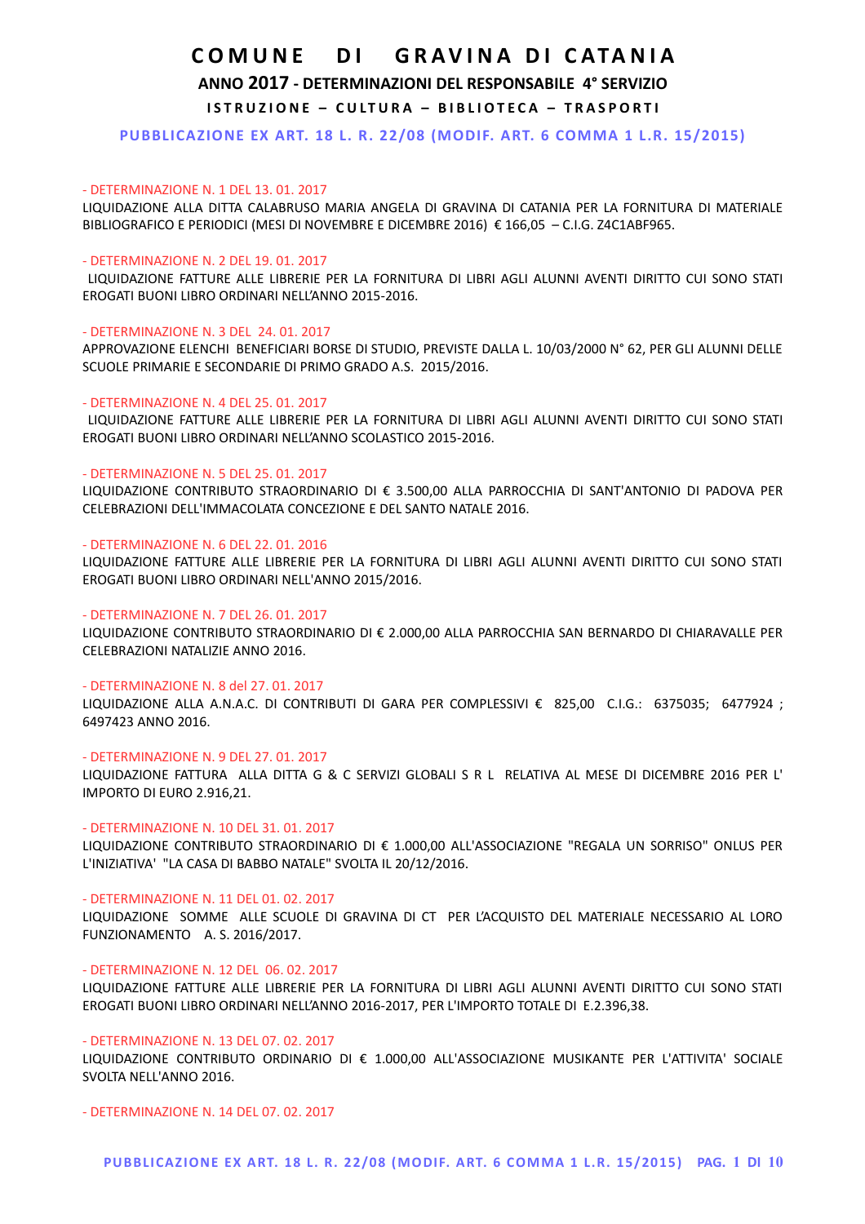# **ANNO 2017 - DETERMINAZIONI DEL RESPONSABILE 4° SERVIZIO**

**ISTRUZIONE - CULTURA - BIBLIOTECA - TRASPORTI** 

**PUBBLICAZIONE EX ART. 18 L. R. 22/08 (MODIF. ART. 6 COMMA 1 L.R. 15/2015)**

## - DETERMINAZIONE N. 1 DEL 13. 01. 2017

LIQUIDAZIONE ALLA DITTA CALABRUSO MARIA ANGELA DI GRAVINA DI CATANIA PER LA FORNITURA DI MATERIALE BIBLIOGRAFICO E PERIODICI (MESI DI NOVEMBRE E DICEMBRE 2016) € 166,05 – C.I.G. Z4C1ABF965.

#### - DETERMINAZIONE N. 2 DEL 19. 01. 2017

LIQUIDAZIONE FATTURE ALLE LIBRERIE PER LA FORNITURA DI LIBRI AGLI ALUNNI AVENTI DIRITTO CUI SONO STATI EROGATI BUONI LIBRO ORDINARI NELL'ANNO 2015-2016.

## - DETERMINAZIONE N. 3 DEL 24. 01. 2017

APPROVAZIONE ELENCHI BENEFICIARI BORSE DI STUDIO, PREVISTE DALLA L. 10/03/2000 N° 62, PER GLI ALUNNI DELLE SCUOLE PRIMARIE E SECONDARIE DI PRIMO GRADO A.S. 2015/2016.

#### - DETERMINAZIONE N. 4 DEL 25. 01. 2017

LIQUIDAZIONE FATTURE ALLE LIBRERIE PER LA FORNITURA DI LIBRI AGLI ALUNNI AVENTI DIRITTO CUI SONO STATI EROGATI BUONI LIBRO ORDINARI NELL'ANNO SCOLASTICO 2015-2016.

### - DETERMINAZIONE N. 5 DEL 25. 01. 2017

LIQUIDAZIONE CONTRIBUTO STRAORDINARIO DI € 3.500,00 ALLA PARROCCHIA DI SANT'ANTONIO DI PADOVA PER CELEBRAZIONI DELL'IMMACOLATA CONCEZIONE E DEL SANTO NATALE 2016.

### - DETERMINAZIONE N. 6 DEL 22. 01. 2016

LIQUIDAZIONE FATTURE ALLE LIBRERIE PER LA FORNITURA DI LIBRI AGLI ALUNNI AVENTI DIRITTO CUI SONO STATI EROGATI BUONI LIBRO ORDINARI NELL'ANNO 2015/2016.

#### - DETERMINAZIONE N. 7 DEL 26. 01. 2017

LIQUIDAZIONE CONTRIBUTO STRAORDINARIO DI € 2.000,00 ALLA PARROCCHIA SAN BERNARDO DI CHIARAVALLE PER CELEBRAZIONI NATALIZIE ANNO 2016.

#### - DETERMINAZIONE N. 8 del 27. 01. 2017

LIQUIDAZIONE ALLA A.N.A.C. DI CONTRIBUTI DI GARA PER COMPLESSIVI € 825,00 C.I.G.: 6375035; 6477924 ; 6497423 ANNO 2016.

## - DETERMINAZIONE N. 9 DEL 27. 01. 2017

LIQUIDAZIONE FATTURA ALLA DITTA G & C SERVIZI GLOBALI S R L RELATIVA AL MESE DI DICEMBRE 2016 PER L' IMPORTO DI EURO 2.916,21.

#### - DETERMINAZIONE N. 10 DEL 31. 01. 2017

LIQUIDAZIONE CONTRIBUTO STRAORDINARIO DI € 1.000,00 ALL'ASSOCIAZIONE "REGALA UN SORRISO" ONLUS PER L'INIZIATIVA' "LA CASA DI BABBO NATALE" SVOLTA IL 20/12/2016.

#### - DETERMINAZIONE N. 11 DEL 01. 02. 2017

LIQUIDAZIONE SOMME ALLE SCUOLE DI GRAVINA DI CT PER L'ACQUISTO DEL MATERIALE NECESSARIO AL LORO FUNZIONAMENTO A. S. 2016/2017.

#### - DETERMINAZIONE N. 12 DEL 06. 02. 2017

LIQUIDAZIONE FATTURE ALLE LIBRERIE PER LA FORNITURA DI LIBRI AGLI ALUNNI AVENTI DIRITTO CUI SONO STATI EROGATI BUONI LIBRO ORDINARI NELL'ANNO 2016-2017, PER L'IMPORTO TOTALE DI E.2.396,38.

#### - DETERMINAZIONE N. 13 DEL 07. 02. 2017

LIQUIDAZIONE CONTRIBUTO ORDINARIO DI € 1.000,00 ALL'ASSOCIAZIONE MUSIKANTE PER L'ATTIVITA' SOCIALE SVOLTA NELL'ANNO 2016.

#### - DETERMINAZIONE N. 14 DEL 07. 02. 2017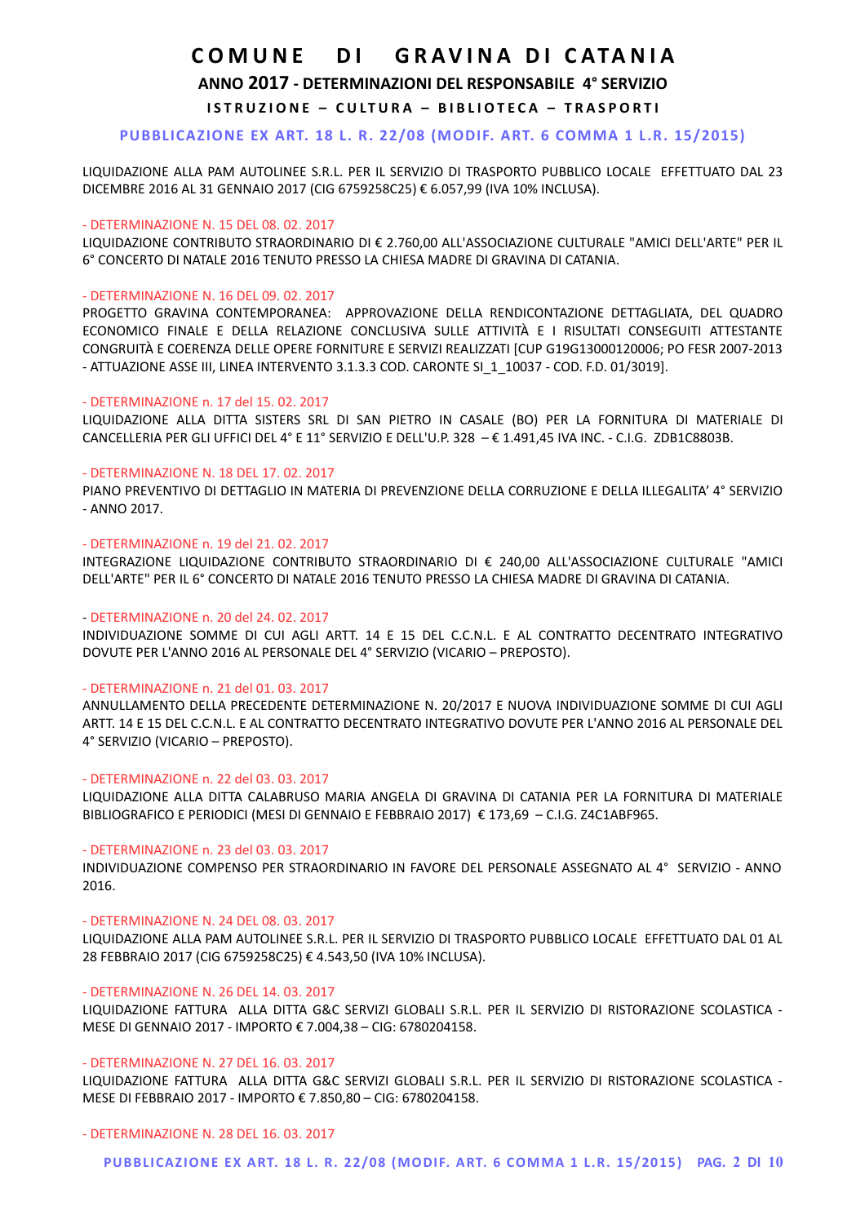**ANNO 2017 - DETERMINAZIONI DEL RESPONSABILE 4° SERVIZIO**

**ISTRUZIONE - CULTURA - BIBLIOTECA - TRASPORTI** 

# **PUBBLICAZIONE EX ART. 18 L. R. 22/08 (MODIF. ART. 6 COMMA 1 L.R. 15/2015)**

LIQUIDAZIONE ALLA PAM AUTOLINEE S.R.L. PER IL SERVIZIO DI TRASPORTO PUBBLICO LOCALE EFFETTUATO DAL 23 DICEMBRE 2016 AL 31 GENNAIO 2017 (CIG 6759258C25) € 6.057,99 (IVA 10% INCLUSA).

#### - DETERMINAZIONE N. 15 DEL 08. 02. 2017

LIQUIDAZIONE CONTRIBUTO STRAORDINARIO DI € 2.760,00 ALL'ASSOCIAZIONE CULTURALE "AMICI DELL'ARTE" PER IL 6° CONCERTO DI NATALE 2016 TENUTO PRESSO LA CHIESA MADRE DI GRAVINA DI CATANIA.

## - DETERMINAZIONE N. 16 DEL 09. 02. 2017

PROGETTO GRAVINA CONTEMPORANEA: APPROVAZIONE DELLA RENDICONTAZIONE DETTAGLIATA, DEL QUADRO ECONOMICO FINALE E DELLA RELAZIONE CONCLUSIVA SULLE ATTIVITÀ E I RISULTATI CONSEGUITI ATTESTANTE CONGRUITÀ E COERENZA DELLE OPERE FORNITURE E SERVIZI REALIZZATI [CUP G19G13000120006; PO FESR 2007-2013 - ATTUAZIONE ASSE III, LINEA INTERVENTO 3.1.3.3 COD. CARONTE SI 1 10037 - COD. F.D. 01/3019].

#### - DETERMINAZIONE n. 17 del 15. 02. 2017

LIQUIDAZIONE ALLA DITTA SISTERS SRL DI SAN PIETRO IN CASALE (BO) PER LA FORNITURA DI MATERIALE DI CANCELLERIA PER GLI UFFICI DEL 4° E 11° SERVIZIO E DELL'U.P. 328 – € 1.491,45 IVA INC. - C.I.G. ZDB1C8803B.

## - DETERMINAZIONE N. 18 DEL 17. 02. 2017

PIANO PREVENTIVO DI DETTAGLIO IN MATERIA DI PREVENZIONE DELLA CORRUZIONE E DELLA ILLEGALITA' 4° SERVIZIO - ANNO 2017.

#### - DETERMINAZIONE n. 19 del 21. 02. 2017

INTEGRAZIONE LIQUIDAZIONE CONTRIBUTO STRAORDINARIO DI € 240,00 ALL'ASSOCIAZIONE CULTURALE "AMICI DELL'ARTE" PER IL 6° CONCERTO DI NATALE 2016 TENUTO PRESSO LA CHIESA MADRE DI GRAVINA DI CATANIA.

### - DETERMINAZIONE n. 20 del 24. 02. 2017

INDIVIDUAZIONE SOMME DI CUI AGLI ARTT. 14 E 15 DEL C.C.N.L. E AL CONTRATTO DECENTRATO INTEGRATIVO DOVUTE PER L'ANNO 2016 AL PERSONALE DEL 4° SERVIZIO (VICARIO – PREPOSTO).

#### - DETERMINAZIONE n. 21 del 01. 03. 2017

ANNULLAMENTO DELLA PRECEDENTE DETERMINAZIONE N. 20/2017 E NUOVA INDIVIDUAZIONE SOMME DI CUI AGLI ARTT. 14 E 15 DEL C.C.N.L. E AL CONTRATTO DECENTRATO INTEGRATIVO DOVUTE PER L'ANNO 2016 AL PERSONALE DEL 4° SERVIZIO (VICARIO – PREPOSTO).

#### - DETERMINAZIONE n. 22 del 03. 03. 2017

LIQUIDAZIONE ALLA DITTA CALABRUSO MARIA ANGELA DI GRAVINA DI CATANIA PER LA FORNITURA DI MATERIALE BIBLIOGRAFICO E PERIODICI (MESI DI GENNAIO E FEBBRAIO 2017) € 173,69 – C.I.G. Z4C1ABF965.

## - DETERMINAZIONE n. 23 del 03. 03. 2017

INDIVIDUAZIONE COMPENSO PER STRAORDINARIO IN FAVORE DEL PERSONALE ASSEGNATO AL 4° SERVIZIO - ANNO 2016.

### - DETERMINAZIONE N. 24 DEL 08. 03. 2017

LIQUIDAZIONE ALLA PAM AUTOLINEE S.R.L. PER IL SERVIZIO DI TRASPORTO PUBBLICO LOCALE EFFETTUATO DAL 01 AL 28 FEBBRAIO 2017 (CIG 6759258C25) € 4.543,50 (IVA 10% INCLUSA).

#### - DETERMINAZIONE N. 26 DEL 14. 03. 2017

LIQUIDAZIONE FATTURA ALLA DITTA G&C SERVIZI GLOBALI S.R.L. PER IL SERVIZIO DI RISTORAZIONE SCOLASTICA - MESE DI GENNAIO 2017 - IMPORTO € 7.004,38 – CIG: 6780204158.

#### - DETERMINAZIONE N. 27 DEL 16. 03. 2017

LIQUIDAZIONE FATTURA ALLA DITTA G&C SERVIZI GLOBALI S.R.L. PER IL SERVIZIO DI RISTORAZIONE SCOLASTICA - MESE DI FEBBRAIO 2017 - IMPORTO € 7.850,80 – CIG: 6780204158.

#### - DETERMINAZIONE N. 28 DEL 16. 03. 2017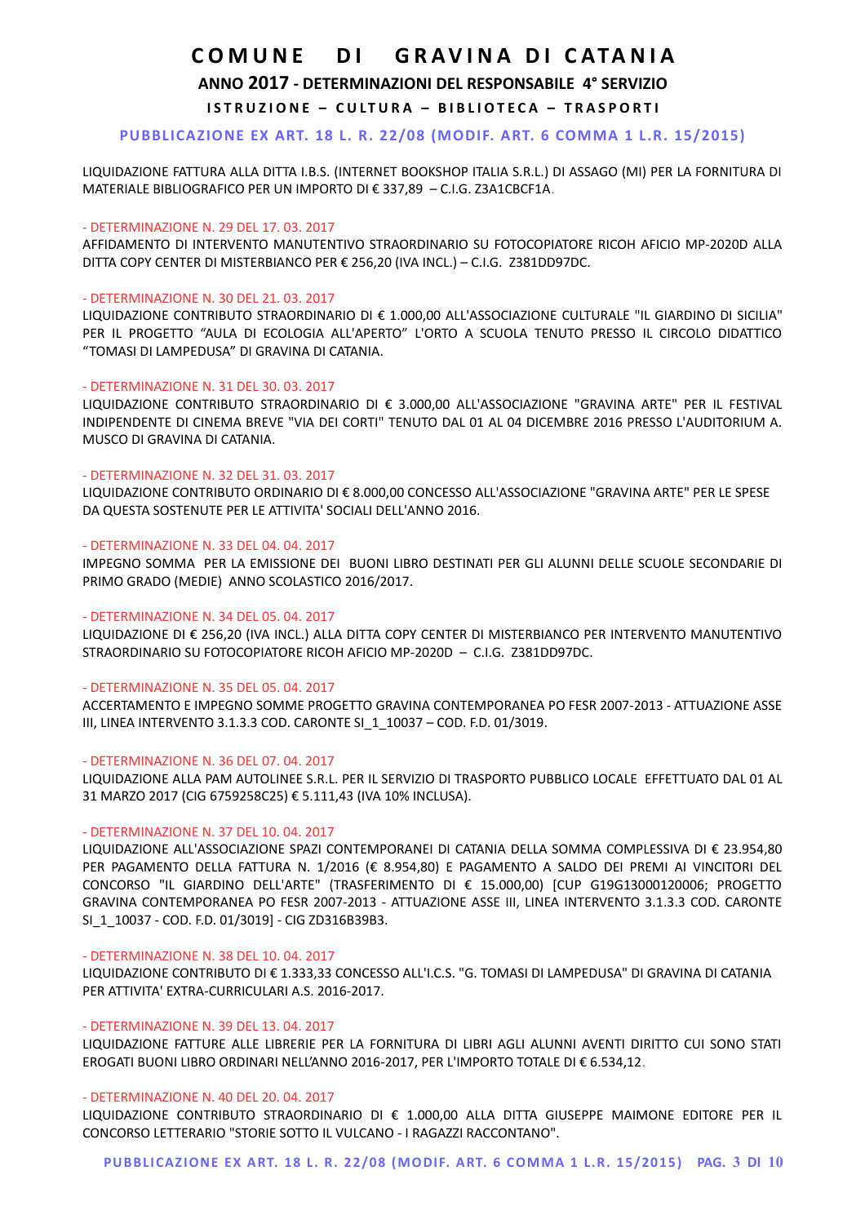**ANNO 2017 - DETERMINAZIONI DEL RESPONSABILE 4° SERVIZIO**

**ISTRUZIONE - CULTURA - BIBLIOTECA - TRASPORTI** 

## **PUBBLICAZIONE EX ART. 18 L. R. 22/08 (MODIF. ART. 6 COMMA 1 L.R. 15/2015)**

LIQUIDAZIONE FATTURA ALLA DITTA I.B.S. (INTERNET BOOKSHOP ITALIA S.R.L.) DI ASSAGO (MI) PER LA FORNITURA DI MATERIALE BIBLIOGRAFICO PER UN IMPORTO DI € 337,89 – C.I.G. Z3A1CBCF1A.

### - DETERMINAZIONE N. 29 DEL 17. 03. 2017

AFFIDAMENTO DI INTERVENTO MANUTENTIVO STRAORDINARIO SU FOTOCOPIATORE RICOH AFICIO MP-2020D ALLA DITTA COPY CENTER DI MISTERBIANCO PER € 256,20 (IVA INCL.) – C.I.G. Z381DD97DC.

#### - DETERMINAZIONE N. 30 DEL 21. 03. 2017

LIQUIDAZIONE CONTRIBUTO STRAORDINARIO DI € 1.000,00 ALL'ASSOCIAZIONE CULTURALE "IL GIARDINO DI SICILIA" PER IL PROGETTO "AULA DI ECOLOGIA ALL'APERTO" L'ORTO A SCUOLA TENUTO PRESSO IL CIRCOLO DIDATTICO "TOMASI DI LAMPEDUSA" DI GRAVINA DI CATANIA.

## - DETERMINAZIONE N. 31 DEL 30. 03. 2017

LIQUIDAZIONE CONTRIBUTO STRAORDINARIO DI € 3.000,00 ALL'ASSOCIAZIONE "GRAVINA ARTE" PER IL FESTIVAL INDIPENDENTE DI CINEMA BREVE "VIA DEI CORTI" TENUTO DAL 01 AL 04 DICEMBRE 2016 PRESSO L'AUDITORIUM A. MUSCO DI GRAVINA DI CATANIA.

## - DETERMINAZIONE N. 32 DEL 31. 03. 2017

LIQUIDAZIONE CONTRIBUTO ORDINARIO DI € 8.000,00 CONCESSO ALL'ASSOCIAZIONE "GRAVINA ARTE" PER LE SPESE DA QUESTA SOSTENUTE PER LE ATTIVITA' SOCIALI DELL'ANNO 2016.

## - DETERMINAZIONE N. 33 DEL 04. 04. 2017

IMPEGNO SOMMA PER LA EMISSIONE DEI BUONI LIBRO DESTINATI PER GLI ALUNNI DELLE SCUOLE SECONDARIE DI PRIMO GRADO (MEDIE) ANNO SCOLASTICO 2016/2017.

## - DETERMINAZIONE N. 34 DEL 05. 04. 2017

LIQUIDAZIONE DI € 256,20 (IVA INCL.) ALLA DITTA COPY CENTER DI MISTERBIANCO PER INTERVENTO MANUTENTIVO STRAORDINARIO SU FOTOCOPIATORE RICOH AFICIO MP-2020D – C.I.G. Z381DD97DC.

## - DETERMINAZIONE N. 35 DEL 05. 04. 2017

ACCERTAMENTO E IMPEGNO SOMME PROGETTO GRAVINA CONTEMPORANEA PO FESR 2007-2013 - ATTUAZIONE ASSE III, LINEA INTERVENTO 3.1.3.3 COD. CARONTE SI\_1\_10037 – COD. F.D. 01/3019.

#### - DETERMINAZIONE N. 36 DEL 07. 04. 2017

LIQUIDAZIONE ALLA PAM AUTOLINEE S.R.L. PER IL SERVIZIO DI TRASPORTO PUBBLICO LOCALE EFFETTUATO DAL 01 AL 31 MARZO 2017 (CIG 6759258C25) € 5.111,43 (IVA 10% INCLUSA).

## - DETERMINAZIONE N. 37 DEL 10. 04. 2017

LIQUIDAZIONE ALL'ASSOCIAZIONE SPAZI CONTEMPORANEI DI CATANIA DELLA SOMMA COMPLESSIVA DI € 23.954,80 PER PAGAMENTO DELLA FATTURA N. 1/2016 (€ 8.954,80) E PAGAMENTO A SALDO DEI PREMI AI VINCITORI DEL CONCORSO "IL GIARDINO DELL'ARTE" (TRASFERIMENTO DI € 15.000,00) [CUP G19G13000120006; PROGETTO GRAVINA CONTEMPORANEA PO FESR 2007-2013 - ATTUAZIONE ASSE III, LINEA INTERVENTO 3.1.3.3 COD. CARONTE SI\_1\_10037 - COD. F.D. 01/3019] - CIG ZD316B39B3.

#### - DETERMINAZIONE N. 38 DEL 10. 04. 2017

LIQUIDAZIONE CONTRIBUTO DI € 1.333,33 CONCESSO ALL'I.C.S. "G. TOMASI DI LAMPEDUSA" DI GRAVINA DI CATANIA PER ATTIVITA' EXTRA-CURRICULARI A.S. 2016-2017.

## - DETERMINAZIONE N. 39 DEL 13. 04. 2017

LIQUIDAZIONE FATTURE ALLE LIBRERIE PER LA FORNITURA DI LIBRI AGLI ALUNNI AVENTI DIRITTO CUI SONO STATI EROGATI BUONI LIBRO ORDINARI NELL'ANNO 2016-2017, PER L'IMPORTO TOTALE DI € 6.534,12.

## - DETERMINAZIONE N. 40 DEL 20. 04. 2017

LIQUIDAZIONE CONTRIBUTO STRAORDINARIO DI € 1.000,00 ALLA DITTA GIUSEPPE MAIMONE EDITORE PER IL CONCORSO LETTERARIO "STORIE SOTTO IL VULCANO - I RAGAZZI RACCONTANO".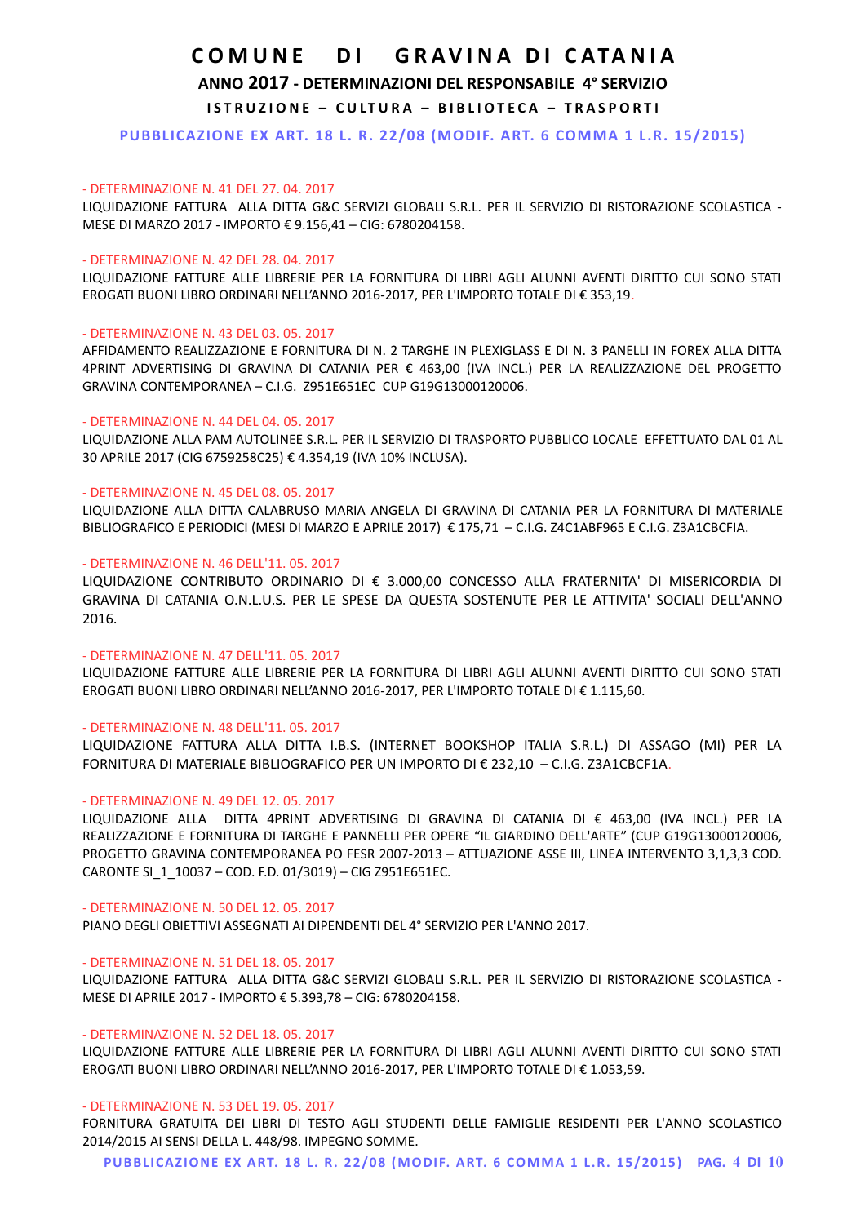# **ANNO 2017 - DETERMINAZIONI DEL RESPONSABILE 4° SERVIZIO**

**ISTRUZIONE - CULTURA - BIBLIOTECA - TRASPORTI** 

**PUBBLICAZIONE EX ART. 18 L. R. 22/08 (MODIF. ART. 6 COMMA 1 L.R. 15/2015)**

### - DETERMINAZIONE N. 41 DEL 27. 04. 2017

LIQUIDAZIONE FATTURA ALLA DITTA G&C SERVIZI GLOBALI S.R.L. PER IL SERVIZIO DI RISTORAZIONE SCOLASTICA - MESE DI MARZO 2017 - IMPORTO € 9.156,41 – CIG: 6780204158.

### - DETERMINAZIONE N. 42 DEL 28. 04. 2017

LIQUIDAZIONE FATTURE ALLE LIBRERIE PER LA FORNITURA DI LIBRI AGLI ALUNNI AVENTI DIRITTO CUI SONO STATI EROGATI BUONI LIBRO ORDINARI NELL'ANNO 2016-2017, PER L'IMPORTO TOTALE DI € 353,19.

## - DETERMINAZIONE N. 43 DEL 03. 05. 2017

AFFIDAMENTO REALIZZAZIONE E FORNITURA DI N. 2 TARGHE IN PLEXIGLASS E DI N. 3 PANELLI IN FOREX ALLA DITTA 4PRINT ADVERTISING DI GRAVINA DI CATANIA PER € 463,00 (IVA INCL.) PER LA REALIZZAZIONE DEL PROGETTO GRAVINA CONTEMPORANEA – C.I.G. Z951E651EC CUP G19G13000120006.

## - DETERMINAZIONE N. 44 DEL 04. 05. 2017

LIQUIDAZIONE ALLA PAM AUTOLINEE S.R.L. PER IL SERVIZIO DI TRASPORTO PUBBLICO LOCALE EFFETTUATO DAL 01 AL 30 APRILE 2017 (CIG 6759258C25) € 4.354,19 (IVA 10% INCLUSA).

## - DETERMINAZIONE N. 45 DEL 08. 05. 2017

LIQUIDAZIONE ALLA DITTA CALABRUSO MARIA ANGELA DI GRAVINA DI CATANIA PER LA FORNITURA DI MATERIALE BIBLIOGRAFICO E PERIODICI (MESI DI MARZO E APRILE 2017) € 175,71 – C.I.G. Z4C1ABF965 E C.I.G. Z3A1CBCFIA.

# - DETERMINAZIONE N. 46 DELL'11. 05. 2017

LIQUIDAZIONE CONTRIBUTO ORDINARIO DI € 3.000,00 CONCESSO ALLA FRATERNITA' DI MISERICORDIA DI GRAVINA DI CATANIA O.N.L.U.S. PER LE SPESE DA QUESTA SOSTENUTE PER LE ATTIVITA' SOCIALI DELL'ANNO 2016.

#### - DETERMINAZIONE N. 47 DELL'11. 05. 2017

LIQUIDAZIONE FATTURE ALLE LIBRERIE PER LA FORNITURA DI LIBRI AGLI ALUNNI AVENTI DIRITTO CUI SONO STATI EROGATI BUONI LIBRO ORDINARI NELL'ANNO 2016-2017, PER L'IMPORTO TOTALE DI € 1.115,60.

## - DETERMINAZIONE N. 48 DELL'11. 05. 2017

LIQUIDAZIONE FATTURA ALLA DITTA I.B.S. (INTERNET BOOKSHOP ITALIA S.R.L.) DI ASSAGO (MI) PER LA FORNITURA DI MATERIALE BIBLIOGRAFICO PER UN IMPORTO DI € 232,10 – C.I.G. Z3A1CBCF1A.

#### - DETERMINAZIONE N. 49 DEL 12. 05. 2017

LIQUIDAZIONE ALLA DITTA 4PRINT ADVERTISING DI GRAVINA DI CATANIA DI € 463,00 (IVA INCL.) PER LA REALIZZAZIONE E FORNITURA DI TARGHE E PANNELLI PER OPERE "IL GIARDINO DELL'ARTE" (CUP G19G13000120006, PROGETTO GRAVINA CONTEMPORANEA PO FESR 2007-2013 – ATTUAZIONE ASSE III, LINEA INTERVENTO 3,1,3,3 COD. CARONTE SI\_1\_10037 – COD. F.D. 01/3019) – CIG Z951E651EC.

#### - DETERMINAZIONE N. 50 DEL 12. 05. 2017

PIANO DEGLI OBIETTIVI ASSEGNATI AI DIPENDENTI DEL 4° SERVIZIO PER L'ANNO 2017.

## - DETERMINAZIONE N. 51 DEL 18. 05. 2017

LIQUIDAZIONE FATTURA ALLA DITTA G&C SERVIZI GLOBALI S.R.L. PER IL SERVIZIO DI RISTORAZIONE SCOLASTICA - MESE DI APRILE 2017 - IMPORTO € 5.393,78 – CIG: 6780204158.

#### - DETERMINAZIONE N. 52 DEL 18. 05. 2017

LIQUIDAZIONE FATTURE ALLE LIBRERIE PER LA FORNITURA DI LIBRI AGLI ALUNNI AVENTI DIRITTO CUI SONO STATI EROGATI BUONI LIBRO ORDINARI NELL'ANNO 2016-2017, PER L'IMPORTO TOTALE DI € 1.053,59.

## - DETERMINAZIONE N. 53 DEL 19. 05. 2017

FORNITURA GRATUITA DEI LIBRI DI TESTO AGLI STUDENTI DELLE FAMIGLIE RESIDENTI PER L'ANNO SCOLASTICO 2014/2015 AI SENSI DELLA L. 448/98. IMPEGNO SOMME.

**PUBBLICAZIONE EX ART. 18 L. R. 22/08 (MODIF. ART. 6 COMMA 1 L.R. 15/2015) PAG. 4 DI 10**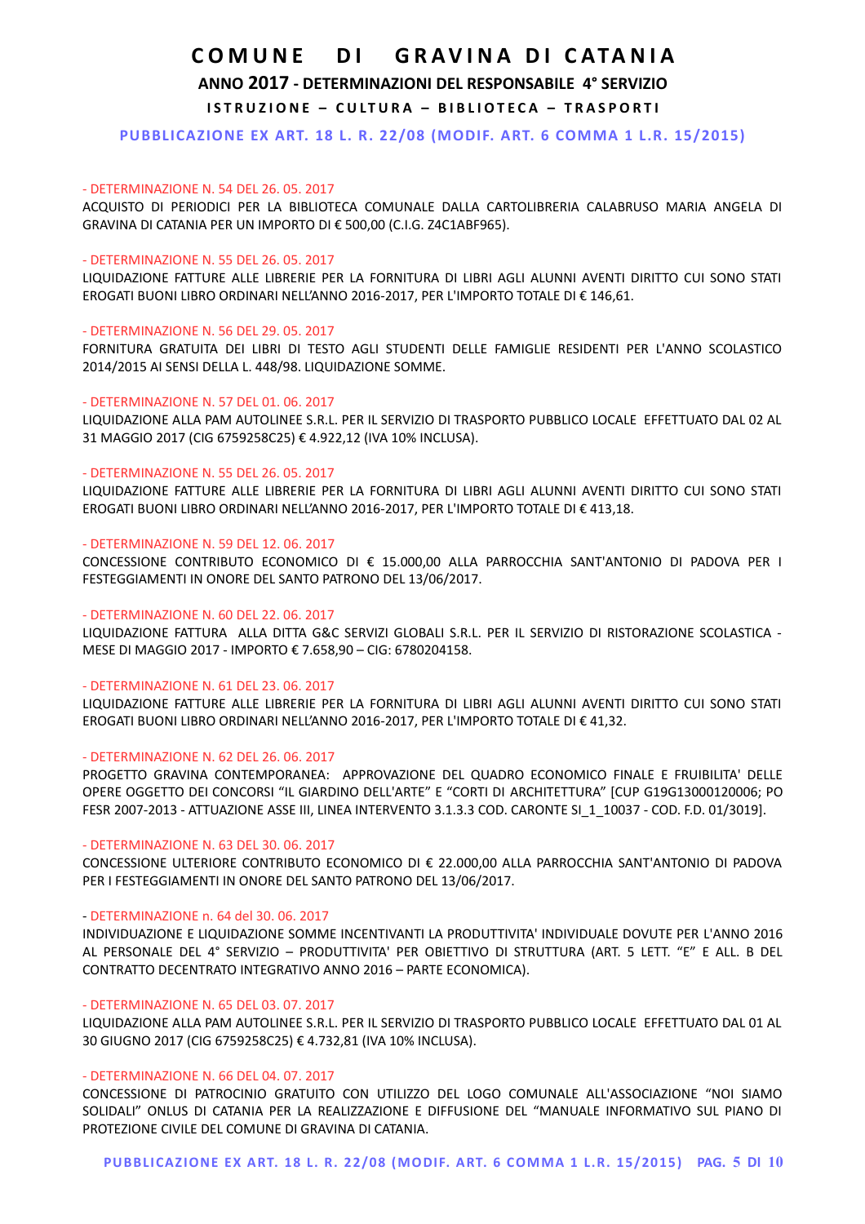# **ANNO 2017 - DETERMINAZIONI DEL RESPONSABILE 4° SERVIZIO**

**ISTRUZIONE - CULTURA - BIBLIOTECA - TRASPORTI** 

**PUBBLICAZIONE EX ART. 18 L. R. 22/08 (MODIF. ART. 6 COMMA 1 L.R. 15/2015)**

### - DETERMINAZIONE N. 54 DEL 26. 05. 2017

ACQUISTO DI PERIODICI PER LA BIBLIOTECA COMUNALE DALLA CARTOLIBRERIA CALABRUSO MARIA ANGELA DI GRAVINA DI CATANIA PER UN IMPORTO DI € 500,00 (C.I.G. Z4C1ABF965).

### - DETERMINAZIONE N. 55 DEL 26. 05. 2017

LIQUIDAZIONE FATTURE ALLE LIBRERIE PER LA FORNITURA DI LIBRI AGLI ALUNNI AVENTI DIRITTO CUI SONO STATI EROGATI BUONI LIBRO ORDINARI NELL'ANNO 2016-2017, PER L'IMPORTO TOTALE DI € 146,61.

## - DETERMINAZIONE N. 56 DEL 29. 05. 2017

FORNITURA GRATUITA DEI LIBRI DI TESTO AGLI STUDENTI DELLE FAMIGLIE RESIDENTI PER L'ANNO SCOLASTICO 2014/2015 AI SENSI DELLA L. 448/98. LIQUIDAZIONE SOMME.

#### - DETERMINAZIONE N. 57 DEL 01. 06. 2017

LIQUIDAZIONE ALLA PAM AUTOLINEE S.R.L. PER IL SERVIZIO DI TRASPORTO PUBBLICO LOCALE EFFETTUATO DAL 02 AL 31 MAGGIO 2017 (CIG 6759258C25) € 4.922,12 (IVA 10% INCLUSA).

## - DETERMINAZIONE N. 55 DEL 26. 05. 2017

LIQUIDAZIONE FATTURE ALLE LIBRERIE PER LA FORNITURA DI LIBRI AGLI ALUNNI AVENTI DIRITTO CUI SONO STATI EROGATI BUONI LIBRO ORDINARI NELL'ANNO 2016-2017, PER L'IMPORTO TOTALE DI € 413,18.

## - DETERMINAZIONE N. 59 DEL 12. 06. 2017

CONCESSIONE CONTRIBUTO ECONOMICO DI € 15.000,00 ALLA PARROCCHIA SANT'ANTONIO DI PADOVA PER I FESTEGGIAMENTI IN ONORE DEL SANTO PATRONO DEL 13/06/2017.

### - DETERMINAZIONE N. 60 DEL 22. 06. 2017

LIQUIDAZIONE FATTURA ALLA DITTA G&C SERVIZI GLOBALI S.R.L. PER IL SERVIZIO DI RISTORAZIONE SCOLASTICA - MESE DI MAGGIO 2017 - IMPORTO € 7.658,90 – CIG: 6780204158.

#### - DETERMINAZIONE N. 61 DEL 23. 06. 2017

LIQUIDAZIONE FATTURE ALLE LIBRERIE PER LA FORNITURA DI LIBRI AGLI ALUNNI AVENTI DIRITTO CUI SONO STATI EROGATI BUONI LIBRO ORDINARI NELL'ANNO 2016-2017, PER L'IMPORTO TOTALE DI € 41,32.

## - DETERMINAZIONE N. 62 DEL 26. 06. 2017

PROGETTO GRAVINA CONTEMPORANEA: APPROVAZIONE DEL QUADRO ECONOMICO FINALE E FRUIBILITA' DELLE OPERE OGGETTO DEI CONCORSI "IL GIARDINO DELL'ARTE" E "CORTI DI ARCHITETTURA" [CUP G19G13000120006; PO FESR 2007-2013 - ATTUAZIONE ASSE III, LINEA INTERVENTO 3.1.3.3 COD. CARONTE SI\_1\_10037 - COD. F.D. 01/3019].

#### - DETERMINAZIONE N. 63 DEL 30. 06. 2017

CONCESSIONE ULTERIORE CONTRIBUTO ECONOMICO DI € 22.000,00 ALLA PARROCCHIA SANT'ANTONIO DI PADOVA PER I FESTEGGIAMENTI IN ONORE DEL SANTO PATRONO DEL 13/06/2017.

## - DETERMINAZIONE n. 64 del 30. 06. 2017

INDIVIDUAZIONE E LIQUIDAZIONE SOMME INCENTIVANTI LA PRODUTTIVITA' INDIVIDUALE DOVUTE PER L'ANNO 2016 AL PERSONALE DEL 4° SERVIZIO – PRODUTTIVITA' PER OBIETTIVO DI STRUTTURA (ART. 5 LETT. "E" E ALL. B DEL CONTRATTO DECENTRATO INTEGRATIVO ANNO 2016 – PARTE ECONOMICA).

### - DETERMINAZIONE N. 65 DEL 03. 07. 2017

LIQUIDAZIONE ALLA PAM AUTOLINEE S.R.L. PER IL SERVIZIO DI TRASPORTO PUBBLICO LOCALE EFFETTUATO DAL 01 AL 30 GIUGNO 2017 (CIG 6759258C25) € 4.732,81 (IVA 10% INCLUSA).

#### - DETERMINAZIONE N. 66 DEL 04. 07. 2017

CONCESSIONE DI PATROCINIO GRATUITO CON UTILIZZO DEL LOGO COMUNALE ALL'ASSOCIAZIONE "NOI SIAMO SOLIDALI" ONLUS DI CATANIA PER LA REALIZZAZIONE E DIFFUSIONE DEL "MANUALE INFORMATIVO SUL PIANO DI PROTEZIONE CIVILE DEL COMUNE DI GRAVINA DI CATANIA.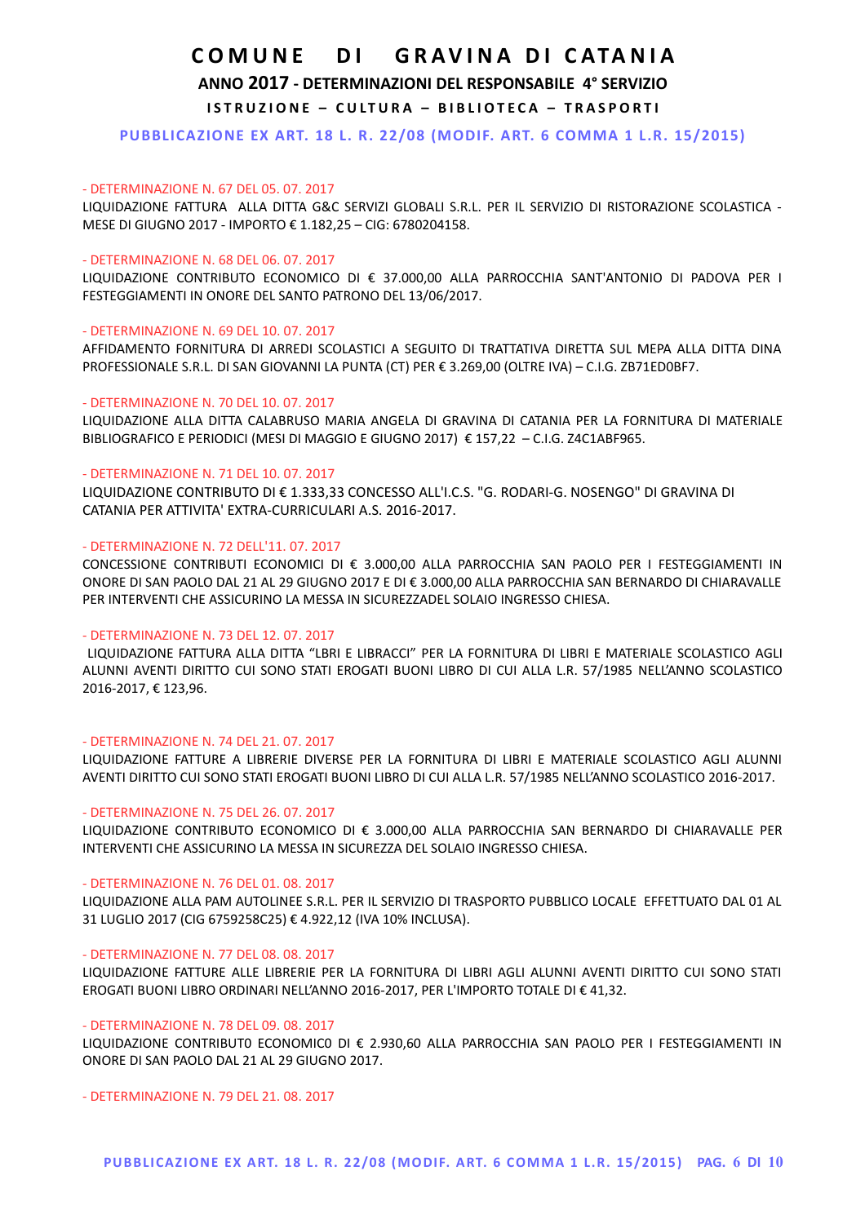# **ANNO 2017 - DETERMINAZIONI DEL RESPONSABILE 4° SERVIZIO**

**ISTRUZIONE - CULTURA - BIBLIOTECA - TRASPORTI** 

**PUBBLICAZIONE EX ART. 18 L. R. 22/08 (MODIF. ART. 6 COMMA 1 L.R. 15/2015)**

### - DETERMINAZIONE N. 67 DEL 05. 07. 2017

LIQUIDAZIONE FATTURA ALLA DITTA G&C SERVIZI GLOBALI S.R.L. PER IL SERVIZIO DI RISTORAZIONE SCOLASTICA - MESE DI GIUGNO 2017 - IMPORTO € 1.182,25 – CIG: 6780204158.

#### - DETERMINAZIONE N. 68 DEL 06. 07. 2017

LIQUIDAZIONE CONTRIBUTO ECONOMICO DI € 37.000,00 ALLA PARROCCHIA SANT'ANTONIO DI PADOVA PER I FESTEGGIAMENTI IN ONORE DEL SANTO PATRONO DEL 13/06/2017.

#### - DETERMINAZIONE N. 69 DEL 10. 07. 2017

AFFIDAMENTO FORNITURA DI ARREDI SCOLASTICI A SEGUITO DI TRATTATIVA DIRETTA SUL MEPA ALLA DITTA DINA PROFESSIONALE S.R.L. DI SAN GIOVANNI LA PUNTA (CT) PER € 3.269,00 (OLTRE IVA) – C.I.G. ZB71ED0BF7.

#### - DETERMINAZIONE N. 70 DEL 10. 07. 2017

LIQUIDAZIONE ALLA DITTA CALABRUSO MARIA ANGELA DI GRAVINA DI CATANIA PER LA FORNITURA DI MATERIALE BIBLIOGRAFICO E PERIODICI (MESI DI MAGGIO E GIUGNO 2017) € 157,22 – C.I.G. Z4C1ABF965.

#### - DETERMINAZIONE N. 71 DEL 10. 07. 2017

LIQUIDAZIONE CONTRIBUTO DI € 1.333,33 CONCESSO ALL'I.C.S. "G. RODARI-G. NOSENGO" DI GRAVINA DI CATANIA PER ATTIVITA' EXTRA-CURRICULARI A.S. 2016-2017.

## - DETERMINAZIONE N. 72 DELL'11. 07. 2017

CONCESSIONE CONTRIBUTI ECONOMICI DI € 3.000,00 ALLA PARROCCHIA SAN PAOLO PER I FESTEGGIAMENTI IN ONORE DI SAN PAOLO DAL 21 AL 29 GIUGNO 2017 E DI € 3.000,00 ALLA PARROCCHIA SAN BERNARDO DI CHIARAVALLE PER INTERVENTI CHE ASSICURINO LA MESSA IN SICUREZZADEL SOLAIO INGRESSO CHIESA.

#### - DETERMINAZIONE N. 73 DEL 12. 07. 2017

LIQUIDAZIONE FATTURA ALLA DITTA "LBRI E LIBRACCI" PER LA FORNITURA DI LIBRI E MATERIALE SCOLASTICO AGLI ALUNNI AVENTI DIRITTO CUI SONO STATI EROGATI BUONI LIBRO DI CUI ALLA L.R. 57/1985 NELL'ANNO SCOLASTICO 2016-2017, € 123,96.

#### - DETERMINAZIONE N. 74 DEL 21. 07. 2017

LIQUIDAZIONE FATTURE A LIBRERIE DIVERSE PER LA FORNITURA DI LIBRI E MATERIALE SCOLASTICO AGLI ALUNNI AVENTI DIRITTO CUI SONO STATI EROGATI BUONI LIBRO DI CUI ALLA L.R. 57/1985 NELL'ANNO SCOLASTICO 2016-2017.

#### - DETERMINAZIONE N. 75 DEL 26. 07. 2017

LIQUIDAZIONE CONTRIBUTO ECONOMICO DI € 3.000,00 ALLA PARROCCHIA SAN BERNARDO DI CHIARAVALLE PER INTERVENTI CHE ASSICURINO LA MESSA IN SICUREZZA DEL SOLAIO INGRESSO CHIESA.

## - DETERMINAZIONE N. 76 DEL 01. 08. 2017

LIQUIDAZIONE ALLA PAM AUTOLINEE S.R.L. PER IL SERVIZIO DI TRASPORTO PUBBLICO LOCALE EFFETTUATO DAL 01 AL 31 LUGLIO 2017 (CIG 6759258C25) € 4.922,12 (IVA 10% INCLUSA).

#### - DETERMINAZIONE N. 77 DEL 08. 08. 2017

LIQUIDAZIONE FATTURE ALLE LIBRERIE PER LA FORNITURA DI LIBRI AGLI ALUNNI AVENTI DIRITTO CUI SONO STATI EROGATI BUONI LIBRO ORDINARI NELL'ANNO 2016-2017, PER L'IMPORTO TOTALE DI € 41,32.

### - DETERMINAZIONE N. 78 DEL 09. 08. 2017

LIQUIDAZIONE CONTRIBUT0 ECONOMIC0 DI € 2.930,60 ALLA PARROCCHIA SAN PAOLO PER I FESTEGGIAMENTI IN ONORE DI SAN PAOLO DAL 21 AL 29 GIUGNO 2017.

- DETERMINAZIONE N. 79 DEL 21. 08. 2017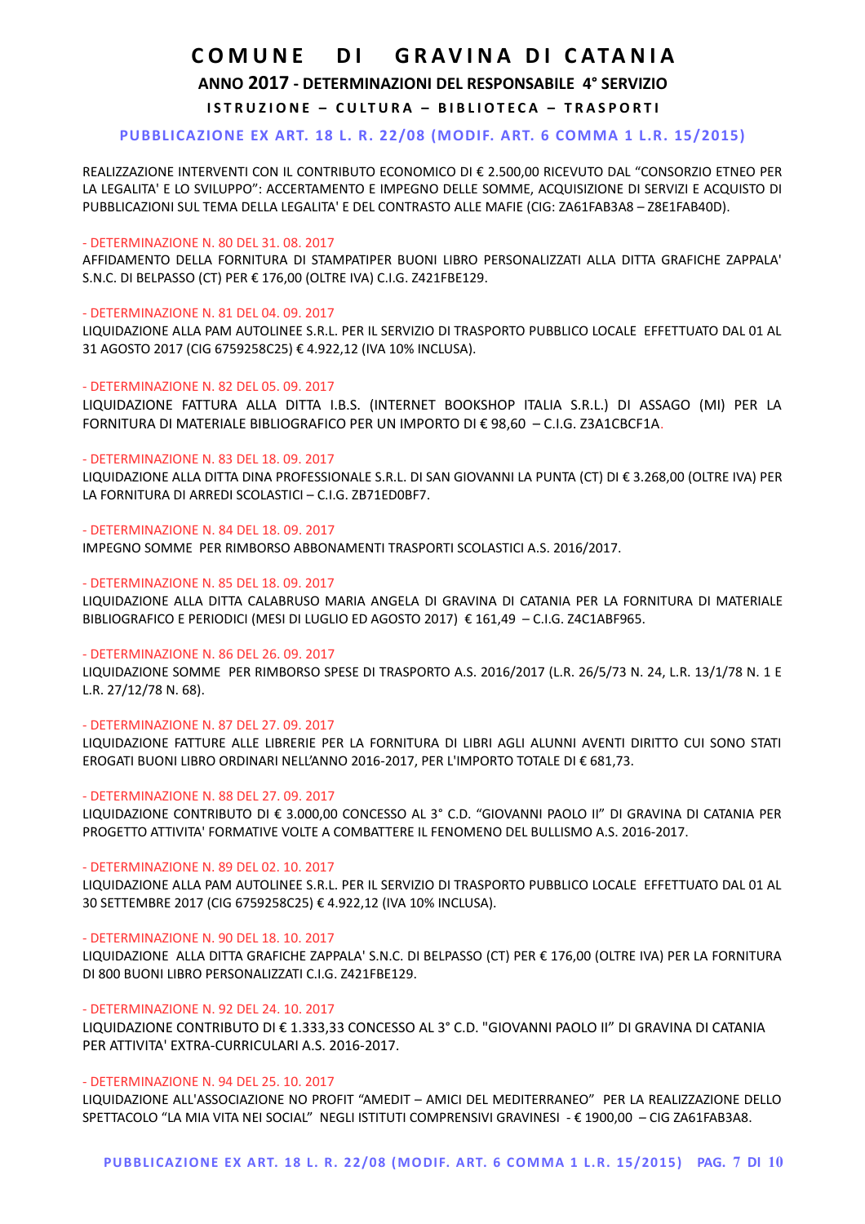# **ANNO 2017 - DETERMINAZIONI DEL RESPONSABILE 4° SERVIZIO**

**ISTRUZIONE - CULTURA - BIBLIOTECA - TRASPORTI** 

## **PUBBLICAZIONE EX ART. 18 L. R. 22/08 (MODIF. ART. 6 COMMA 1 L.R. 15/2015)**

REALIZZAZIONE INTERVENTI CON IL CONTRIBUTO ECONOMICO DI € 2.500,00 RICEVUTO DAL "CONSORZIO ETNEO PER LA LEGALITA' E LO SVILUPPO": ACCERTAMENTO E IMPEGNO DELLE SOMME, ACQUISIZIONE DI SERVIZI E ACQUISTO DI PUBBLICAZIONI SUL TEMA DELLA LEGALITA' E DEL CONTRASTO ALLE MAFIE (CIG: ZA61FAB3A8 – Z8E1FAB40D).

#### - DETERMINAZIONE N. 80 DEL 31. 08. 2017

AFFIDAMENTO DELLA FORNITURA DI STAMPATIPER BUONI LIBRO PERSONALIZZATI ALLA DITTA GRAFICHE ZAPPALA' S.N.C. DI BELPASSO (CT) PER € 176,00 (OLTRE IVA) C.I.G. Z421FBE129.

#### - DETERMINAZIONE N. 81 DEL 04. 09. 2017

LIQUIDAZIONE ALLA PAM AUTOLINEE S.R.L. PER IL SERVIZIO DI TRASPORTO PUBBLICO LOCALE EFFETTUATO DAL 01 AL 31 AGOSTO 2017 (CIG 6759258C25) € 4.922,12 (IVA 10% INCLUSA).

#### - DETERMINAZIONE N. 82 DEL 05. 09. 2017

LIQUIDAZIONE FATTURA ALLA DITTA I.B.S. (INTERNET BOOKSHOP ITALIA S.R.L.) DI ASSAGO (MI) PER LA FORNITURA DI MATERIALE BIBLIOGRAFICO PER UN IMPORTO DI € 98,60 – C.I.G. Z3A1CBCF1A.

#### - DETERMINAZIONE N. 83 DEL 18. 09. 2017

LIQUIDAZIONE ALLA DITTA DINA PROFESSIONALE S.R.L. DI SAN GIOVANNI LA PUNTA (CT) DI € 3.268,00 (OLTRE IVA) PER LA FORNITURA DI ARREDI SCOLASTICI – C.I.G. ZB71ED0BF7.

#### - DETERMINAZIONE N. 84 DEL 18. 09. 2017

IMPEGNO SOMME PER RIMBORSO ABBONAMENTI TRASPORTI SCOLASTICI A.S. 2016/2017.

#### - DETERMINAZIONE N. 85 DEL 18. 09. 2017

LIQUIDAZIONE ALLA DITTA CALABRUSO MARIA ANGELA DI GRAVINA DI CATANIA PER LA FORNITURA DI MATERIALE BIBLIOGRAFICO E PERIODICI (MESI DI LUGLIO ED AGOSTO 2017) € 161,49 – C.I.G. Z4C1ABF965.

#### - DETERMINAZIONE N. 86 DEL 26. 09. 2017

LIQUIDAZIONE SOMME PER RIMBORSO SPESE DI TRASPORTO A.S. 2016/2017 (L.R. 26/5/73 N. 24, L.R. 13/1/78 N. 1 E L.R. 27/12/78 N. 68).

#### - DETERMINAZIONE N. 87 DEL 27. 09. 2017

LIQUIDAZIONE FATTURE ALLE LIBRERIE PER LA FORNITURA DI LIBRI AGLI ALUNNI AVENTI DIRITTO CUI SONO STATI EROGATI BUONI LIBRO ORDINARI NELL'ANNO 2016-2017, PER L'IMPORTO TOTALE DI € 681,73.

#### - DETERMINAZIONE N. 88 DEL 27. 09. 2017

LIQUIDAZIONE CONTRIBUTO DI € 3.000,00 CONCESSO AL 3° C.D. "GIOVANNI PAOLO II" DI GRAVINA DI CATANIA PER PROGETTO ATTIVITA' FORMATIVE VOLTE A COMBATTERE IL FENOMENO DEL BULLISMO A.S. 2016-2017.

## - DETERMINAZIONE N. 89 DEL 02. 10. 2017

LIQUIDAZIONE ALLA PAM AUTOLINEE S.R.L. PER IL SERVIZIO DI TRASPORTO PUBBLICO LOCALE EFFETTUATO DAL 01 AL 30 SETTEMBRE 2017 (CIG 6759258C25) € 4.922,12 (IVA 10% INCLUSA).

#### - DETERMINAZIONE N. 90 DEL 18. 10. 2017

LIQUIDAZIONE ALLA DITTA GRAFICHE ZAPPALA' S.N.C. DI BELPASSO (CT) PER € 176,00 (OLTRE IVA) PER LA FORNITURA DI 800 BUONI LIBRO PERSONALIZZATI C.I.G. Z421FBE129.

## - DETERMINAZIONE N. 92 DEL 24. 10. 2017

LIQUIDAZIONE CONTRIBUTO DI € 1.333,33 CONCESSO AL 3° C.D. "GIOVANNI PAOLO II" DI GRAVINA DI CATANIA PER ATTIVITA' EXTRA-CURRICULARI A.S. 2016-2017.

#### - DETERMINAZIONE N. 94 DEL 25. 10. 2017

LIQUIDAZIONE ALL'ASSOCIAZIONE NO PROFIT "AMEDIT – AMICI DEL MEDITERRANEO" PER LA REALIZZAZIONE DELLO SPETTACOLO "LA MIA VITA NEI SOCIAL" NEGLI ISTITUTI COMPRENSIVI GRAVINESI - € 1900,00 – CIG ZA61FAB3A8.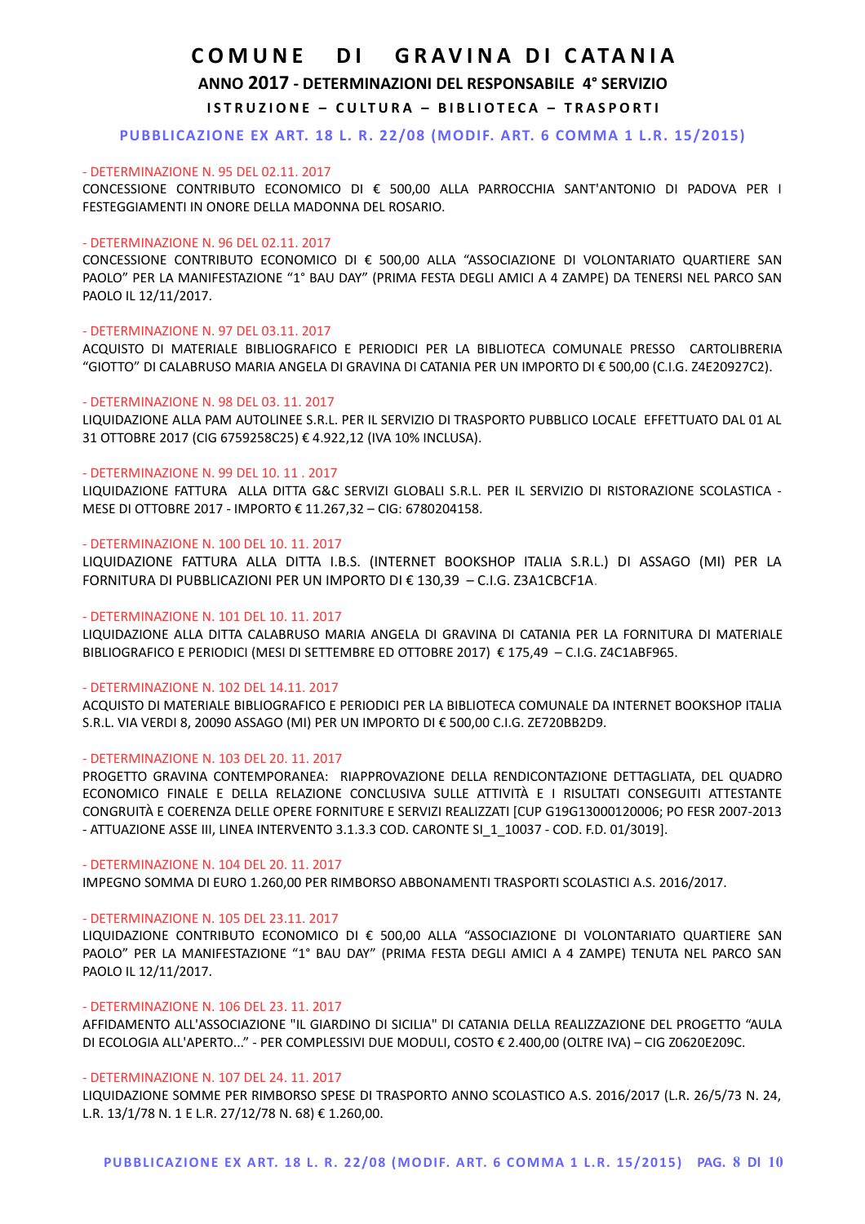# **ANNO 2017 - DETERMINAZIONI DEL RESPONSABILE 4° SERVIZIO**

# **ISTRUZIONE - CULTURA - BIBLIOTECA - TRASPORTI**

## **PUBBLICAZIONE EX ART. 18 L. R. 22/08 (MODIF. ART. 6 COMMA 1 L.R. 15/2015)**

#### - DETERMINAZIONE N. 95 DEL 02.11. 2017

CONCESSIONE CONTRIBUTO ECONOMICO DI € 500,00 ALLA PARROCCHIA SANT'ANTONIO DI PADOVA PER I FESTEGGIAMENTI IN ONORE DELLA MADONNA DEL ROSARIO.

### - DETERMINAZIONE N. 96 DEL 02.11. 2017

CONCESSIONE CONTRIBUTO ECONOMICO DI € 500,00 ALLA "ASSOCIAZIONE DI VOLONTARIATO QUARTIERE SAN PAOLO" PER LA MANIFESTAZIONE "1° BAU DAY" (PRIMA FESTA DEGLI AMICI A 4 ZAMPE) DA TENERSI NEL PARCO SAN PAOLO IL 12/11/2017.

## - DETERMINAZIONE N. 97 DEL 03.11. 2017

ACQUISTO DI MATERIALE BIBLIOGRAFICO E PERIODICI PER LA BIBLIOTECA COMUNALE PRESSO CARTOLIBRERIA "GIOTTO" DI CALABRUSO MARIA ANGELA DI GRAVINA DI CATANIA PER UN IMPORTO DI € 500,00 (C.I.G. Z4E20927C2).

### - DETERMINAZIONE N. 98 DEL 03. 11. 2017

LIQUIDAZIONE ALLA PAM AUTOLINEE S.R.L. PER IL SERVIZIO DI TRASPORTO PUBBLICO LOCALE EFFETTUATO DAL 01 AL 31 OTTOBRE 2017 (CIG 6759258C25) € 4.922,12 (IVA 10% INCLUSA).

#### - DETERMINAZIONE N. 99 DEL 10. 11 . 2017

LIQUIDAZIONE FATTURA ALLA DITTA G&C SERVIZI GLOBALI S.R.L. PER IL SERVIZIO DI RISTORAZIONE SCOLASTICA - MESE DI OTTOBRE 2017 - IMPORTO € 11.267,32 – CIG: 6780204158.

#### - DETERMINAZIONE N. 100 DEL 10. 11. 2017

LIQUIDAZIONE FATTURA ALLA DITTA I.B.S. (INTERNET BOOKSHOP ITALIA S.R.L.) DI ASSAGO (MI) PER LA FORNITURA DI PUBBLICAZIONI PER UN IMPORTO DI € 130,39 – C.I.G. Z3A1CBCF1A.

#### - DETERMINAZIONE N. 101 DEL 10. 11. 2017

LIQUIDAZIONE ALLA DITTA CALABRUSO MARIA ANGELA DI GRAVINA DI CATANIA PER LA FORNITURA DI MATERIALE BIBLIOGRAFICO E PERIODICI (MESI DI SETTEMBRE ED OTTOBRE 2017) € 175,49 – C.I.G. Z4C1ABF965.

#### - DETERMINAZIONE N. 102 DEL 14.11. 2017

ACQUISTO DI MATERIALE BIBLIOGRAFICO E PERIODICI PER LA BIBLIOTECA COMUNALE DA INTERNET BOOKSHOP ITALIA S.R.L. VIA VERDI 8, 20090 ASSAGO (MI) PER UN IMPORTO DI € 500,00 C.I.G. ZE720BB2D9.

#### - DETERMINAZIONE N. 103 DEL 20. 11. 2017

PROGETTO GRAVINA CONTEMPORANEA: RIAPPROVAZIONE DELLA RENDICONTAZIONE DETTAGLIATA, DEL QUADRO ECONOMICO FINALE E DELLA RELAZIONE CONCLUSIVA SULLE ATTIVITÀ E I RISULTATI CONSEGUITI ATTESTANTE CONGRUITÀ E COERENZA DELLE OPERE FORNITURE E SERVIZI REALIZZATI [CUP G19G13000120006; PO FESR 2007-2013 - ATTUAZIONE ASSE III, LINEA INTERVENTO 3.1.3.3 COD. CARONTE SI\_1\_10037 - COD. F.D. 01/3019].

### - DETERMINAZIONE N. 104 DEL 20. 11. 2017

IMPEGNO SOMMA DI EURO 1.260,00 PER RIMBORSO ABBONAMENTI TRASPORTI SCOLASTICI A.S. 2016/2017.

#### - DETERMINAZIONE N. 105 DEL 23.11. 2017

LIQUIDAZIONE CONTRIBUTO ECONOMICO DI € 500,00 ALLA "ASSOCIAZIONE DI VOLONTARIATO QUARTIERE SAN PAOLO" PER LA MANIFESTAZIONE "1° BAU DAY" (PRIMA FESTA DEGLI AMICI A 4 ZAMPE) TENUTA NEL PARCO SAN PAOLO IL 12/11/2017.

#### - DETERMINAZIONE N. 106 DEL 23. 11. 2017

AFFIDAMENTO ALL'ASSOCIAZIONE "IL GIARDINO DI SICILIA" DI CATANIA DELLA REALIZZAZIONE DEL PROGETTO "AULA DI ECOLOGIA ALL'APERTO..." - PER COMPLESSIVI DUE MODULI, COSTO € 2.400,00 (OLTRE IVA) – CIG Z0620E209C.

#### - DETERMINAZIONE N. 107 DEL 24. 11. 2017

LIQUIDAZIONE SOMME PER RIMBORSO SPESE DI TRASPORTO ANNO SCOLASTICO A.S. 2016/2017 (L.R. 26/5/73 N. 24, L.R. 13/1/78 N. 1 E L.R. 27/12/78 N. 68) € 1.260,00.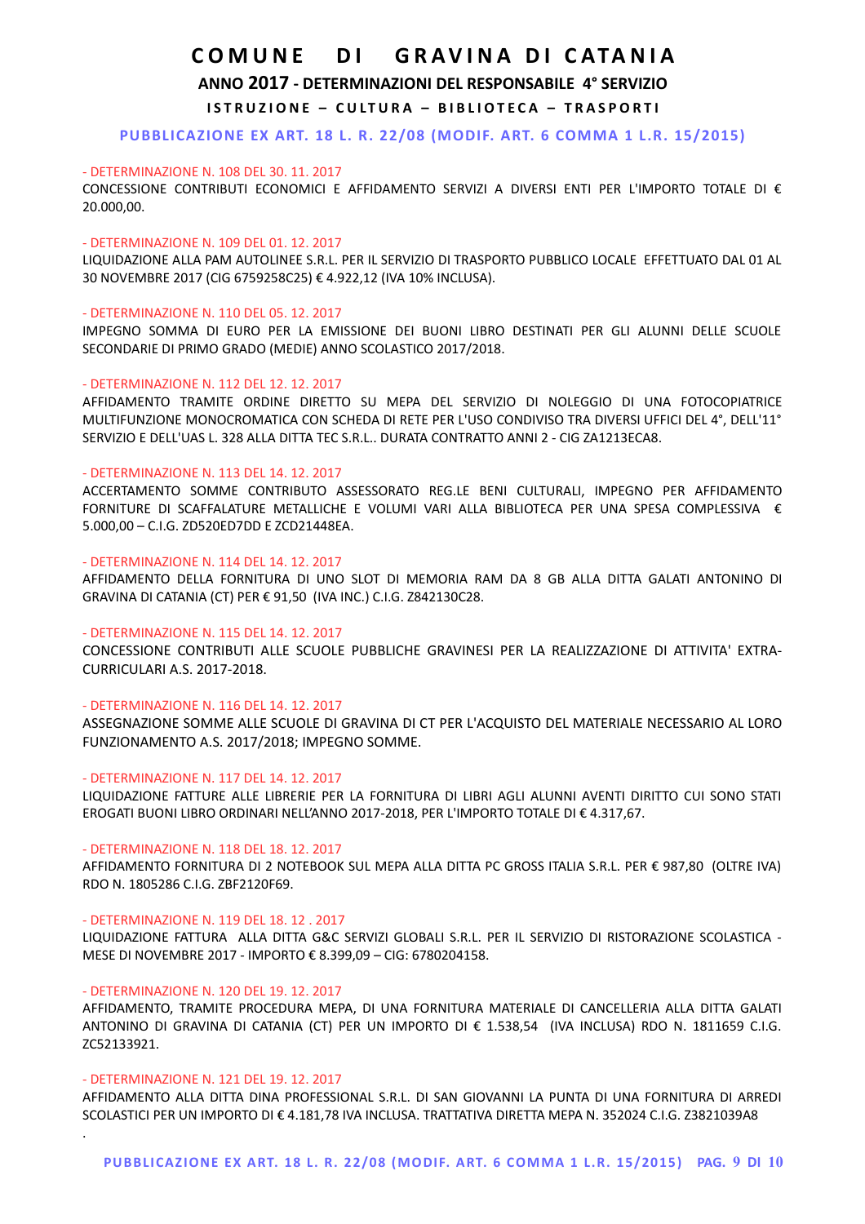**ANNO 2017 - DETERMINAZIONI DEL RESPONSABILE 4° SERVIZIO**

**ISTRUZIONE - CULTURA - BIBLIOTECA - TRASPORTI** 

**PUBBLICAZIONE EX ART. 18 L. R. 22/08 (MODIF. ART. 6 COMMA 1 L.R. 15/2015)**

#### - DETERMINAZIONE N. 108 DEL 30. 11. 2017

CONCESSIONE CONTRIBUTI ECONOMICI E AFFIDAMENTO SERVIZI A DIVERSI ENTI PER L'IMPORTO TOTALE DI € 20.000,00.

#### - DETERMINAZIONE N. 109 DEL 01. 12. 2017

LIQUIDAZIONE ALLA PAM AUTOLINEE S.R.L. PER IL SERVIZIO DI TRASPORTO PUBBLICO LOCALE EFFETTUATO DAL 01 AL 30 NOVEMBRE 2017 (CIG 6759258C25) € 4.922,12 (IVA 10% INCLUSA).

#### - DETERMINAZIONE N. 110 DEL 05. 12. 2017

IMPEGNO SOMMA DI EURO PER LA EMISSIONE DEI BUONI LIBRO DESTINATI PER GLI ALUNNI DELLE SCUOLE SECONDARIE DI PRIMO GRADO (MEDIE) ANNO SCOLASTICO 2017/2018.

#### - DETERMINAZIONE N. 112 DEL 12. 12. 2017

AFFIDAMENTO TRAMITE ORDINE DIRETTO SU MEPA DEL SERVIZIO DI NOLEGGIO DI UNA FOTOCOPIATRICE MULTIFUNZIONE MONOCROMATICA CON SCHEDA DI RETE PER L'USO CONDIVISO TRA DIVERSI UFFICI DEL 4°, DELL'11° SERVIZIO E DELL'UAS L. 328 ALLA DITTA TEC S.R.L.. DURATA CONTRATTO ANNI 2 - CIG ZA1213ECA8.

#### - DETERMINAZIONE N. 113 DEL 14. 12. 2017

ACCERTAMENTO SOMME CONTRIBUTO ASSESSORATO REG.LE BENI CULTURALI, IMPEGNO PER AFFIDAMENTO FORNITURE DI SCAFFALATURE METALLICHE E VOLUMI VARI ALLA BIBLIOTECA PER UNA SPESA COMPLESSIVA € 5.000,00 – C.I.G. ZD520ED7DD E ZCD21448EA.

#### - DETERMINAZIONE N. 114 DEL 14. 12. 2017

AFFIDAMENTO DELLA FORNITURA DI UNO SLOT DI MEMORIA RAM DA 8 GB ALLA DITTA GALATI ANTONINO DI GRAVINA DI CATANIA (CT) PER € 91,50 (IVA INC.) C.I.G. Z842130C28.

## - DETERMINAZIONE N. 115 DEL 14. 12. 2017

CONCESSIONE CONTRIBUTI ALLE SCUOLE PUBBLICHE GRAVINESI PER LA REALIZZAZIONE DI ATTIVITA' EXTRA-CURRICULARI A.S. 2017-2018.

#### - DETERMINAZIONE N. 116 DEL 14. 12. 2017

ASSEGNAZIONE SOMME ALLE SCUOLE DI GRAVINA DI CT PER L'ACQUISTO DEL MATERIALE NECESSARIO AL LORO FUNZIONAMENTO A.S. 2017/2018; IMPEGNO SOMME.

#### - DETERMINAZIONE N. 117 DEL 14. 12. 2017

LIQUIDAZIONE FATTURE ALLE LIBRERIE PER LA FORNITURA DI LIBRI AGLI ALUNNI AVENTI DIRITTO CUI SONO STATI EROGATI BUONI LIBRO ORDINARI NELL'ANNO 2017-2018, PER L'IMPORTO TOTALE DI € 4.317,67.

#### - DETERMINAZIONE N. 118 DEL 18. 12. 2017

AFFIDAMENTO FORNITURA DI 2 NOTEBOOK SUL MEPA ALLA DITTA PC GROSS ITALIA S.R.L. PER € 987,80 (OLTRE IVA) RDO N. 1805286 C.I.G. ZBF2120F69.

## - DETERMINAZIONE N. 119 DEL 18. 12 . 2017

LIQUIDAZIONE FATTURA ALLA DITTA G&C SERVIZI GLOBALI S.R.L. PER IL SERVIZIO DI RISTORAZIONE SCOLASTICA - MESE DI NOVEMBRE 2017 - IMPORTO € 8.399,09 – CIG: 6780204158.

#### - DETERMINAZIONE N. 120 DEL 19. 12. 2017

AFFIDAMENTO, TRAMITE PROCEDURA MEPA, DI UNA FORNITURA MATERIALE DI CANCELLERIA ALLA DITTA GALATI ANTONINO DI GRAVINA DI CATANIA (CT) PER UN IMPORTO DI € 1.538,54 (IVA INCLUSA) RDO N. 1811659 C.I.G. ZC52133921.

## - DETERMINAZIONE N. 121 DEL 19. 12. 2017

.

AFFIDAMENTO ALLA DITTA DINA PROFESSIONAL S.R.L. DI SAN GIOVANNI LA PUNTA DI UNA FORNITURA DI ARREDI SCOLASTICI PER UN IMPORTO DI € 4.181,78 IVA INCLUSA. TRATTATIVA DIRETTA MEPA N. 352024 C.I.G. Z3821039A8